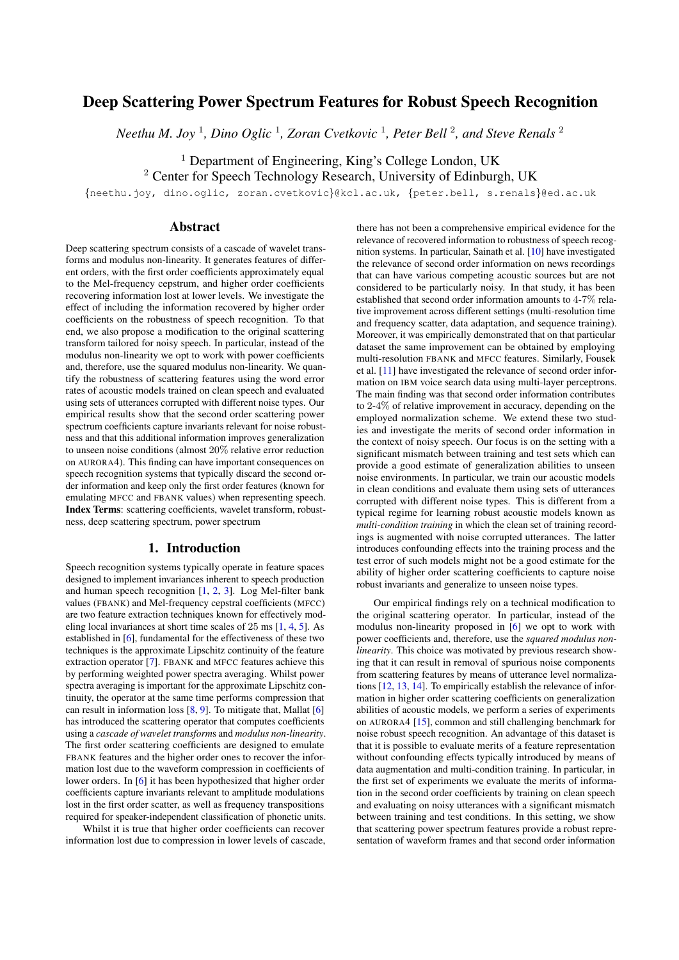# Deep Scattering Power Spectrum Features for Robust Speech Recognition

 $$ 

<sup>1</sup> Department of Engineering, King's College London, UK

<sup>2</sup> Center for Speech Technology Research, University of Edinburgh, UK

{neethu.joy, dino.oglic, zoran.cvetkovic}@kcl.ac.uk, {peter.bell, s.renals}@ed.ac.uk

## Abstract

Deep scattering spectrum consists of a cascade of wavelet transforms and modulus non-linearity. It generates features of different orders, with the first order coefficients approximately equal to the Mel-frequency cepstrum, and higher order coefficients recovering information lost at lower levels. We investigate the effect of including the information recovered by higher order coefficients on the robustness of speech recognition. To that end, we also propose a modification to the original scattering transform tailored for noisy speech. In particular, instead of the modulus non-linearity we opt to work with power coefficients and, therefore, use the squared modulus non-linearity. We quantify the robustness of scattering features using the word error rates of acoustic models trained on clean speech and evaluated using sets of utterances corrupted with different noise types. Our empirical results show that the second order scattering power spectrum coefficients capture invariants relevant for noise robustness and that this additional information improves generalization to unseen noise conditions (almost 20% relative error reduction on AURORA4). This finding can have important consequences on speech recognition systems that typically discard the second order information and keep only the first order features (known for emulating MFCC and FBANK values) when representing speech. Index Terms: scattering coefficients, wavelet transform, robustness, deep scattering spectrum, power spectrum

## 1. Introduction

Speech recognition systems typically operate in feature spaces designed to implement invariances inherent to speech production and human speech recognition [\[1,](#page-4-0) [2,](#page-4-1) [3\]](#page-4-2). Log Mel-filter bank values (FBANK) and Mel-frequency cepstral coefficients (MFCC) are two feature extraction techniques known for effectively modeling local invariances at short time scales of 25 ms [\[1,](#page-4-0) [4,](#page-4-3) [5\]](#page-4-4). As established in [\[6\]](#page-4-5), fundamental for the effectiveness of these two techniques is the approximate Lipschitz continuity of the feature extraction operator [\[7\]](#page-4-6). FBANK and MFCC features achieve this by performing weighted power spectra averaging. Whilst power spectra averaging is important for the approximate Lipschitz continuity, the operator at the same time performs compression that can result in information loss  $[8, 9]$  $[8, 9]$  $[8, 9]$ . To mitigate that, Mallat  $[6]$ has introduced the scattering operator that computes coefficients using a *cascade of wavelet transform*s and *modulus non-linearity*. The first order scattering coefficients are designed to emulate FBANK features and the higher order ones to recover the information lost due to the waveform compression in coefficients of lower orders. In [\[6\]](#page-4-5) it has been hypothesized that higher order coefficients capture invariants relevant to amplitude modulations lost in the first order scatter, as well as frequency transpositions required for speaker-independent classification of phonetic units.

Whilst it is true that higher order coefficients can recover information lost due to compression in lower levels of cascade,

there has not been a comprehensive empirical evidence for the relevance of recovered information to robustness of speech recognition systems. In particular, Sainath et al. [\[10\]](#page-4-9) have investigated the relevance of second order information on news recordings that can have various competing acoustic sources but are not considered to be particularly noisy. In that study, it has been established that second order information amounts to 4-7% relative improvement across different settings (multi-resolution time and frequency scatter, data adaptation, and sequence training). Moreover, it was empirically demonstrated that on that particular dataset the same improvement can be obtained by employing multi-resolution FBANK and MFCC features. Similarly, Fousek et al. [\[11\]](#page-4-10) have investigated the relevance of second order information on IBM voice search data using multi-layer perceptrons. The main finding was that second order information contributes to 2-4% of relative improvement in accuracy, depending on the employed normalization scheme. We extend these two studies and investigate the merits of second order information in the context of noisy speech. Our focus is on the setting with a significant mismatch between training and test sets which can provide a good estimate of generalization abilities to unseen noise environments. In particular, we train our acoustic models in clean conditions and evaluate them using sets of utterances corrupted with different noise types. This is different from a typical regime for learning robust acoustic models known as *multi-condition training* in which the clean set of training recordings is augmented with noise corrupted utterances. The latter introduces confounding effects into the training process and the test error of such models might not be a good estimate for the ability of higher order scattering coefficients to capture noise robust invariants and generalize to unseen noise types.

Our empirical findings rely on a technical modification to the original scattering operator. In particular, instead of the modulus non-linearity proposed in [\[6\]](#page-4-5) we opt to work with power coefficients and, therefore, use the *squared modulus nonlinearity*. This choice was motivated by previous research showing that it can result in removal of spurious noise components from scattering features by means of utterance level normalizations [\[12,](#page-4-11) [13,](#page-4-12) [14\]](#page-4-13). To empirically establish the relevance of information in higher order scattering coefficients on generalization abilities of acoustic models, we perform a series of experiments on AURORA4 [\[15\]](#page-4-14), common and still challenging benchmark for noise robust speech recognition. An advantage of this dataset is that it is possible to evaluate merits of a feature representation without confounding effects typically introduced by means of data augmentation and multi-condition training. In particular, in the first set of experiments we evaluate the merits of information in the second order coefficients by training on clean speech and evaluating on noisy utterances with a significant mismatch between training and test conditions. In this setting, we show that scattering power spectrum features provide a robust representation of waveform frames and that second order information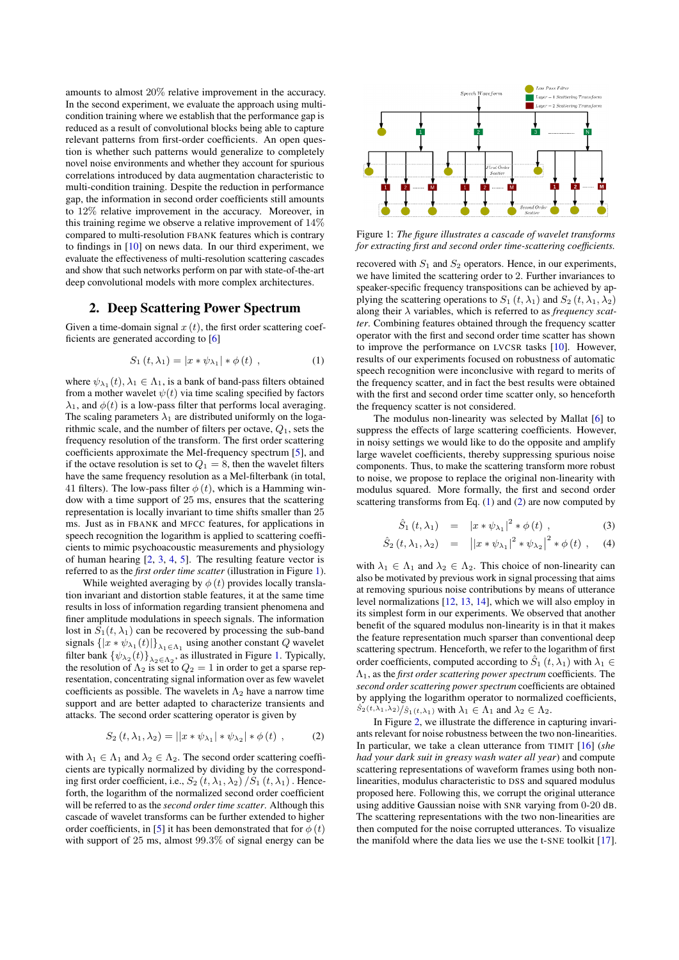amounts to almost 20% relative improvement in the accuracy. In the second experiment, we evaluate the approach using multicondition training where we establish that the performance gap is reduced as a result of convolutional blocks being able to capture relevant patterns from first-order coefficients. An open question is whether such patterns would generalize to completely novel noise environments and whether they account for spurious correlations introduced by data augmentation characteristic to multi-condition training. Despite the reduction in performance gap, the information in second order coefficients still amounts to 12% relative improvement in the accuracy. Moreover, in this training regime we observe a relative improvement of 14% compared to multi-resolution FBANK features which is contrary to findings in [\[10\]](#page-4-9) on news data. In our third experiment, we evaluate the effectiveness of multi-resolution scattering cascades and show that such networks perform on par with state-of-the-art deep convolutional models with more complex architectures.

## 2. Deep Scattering Power Spectrum

Given a time-domain signal  $x(t)$ , the first order scattering coefficients are generated according to [\[6\]](#page-4-5)

<span id="page-1-1"></span>
$$
S_1(t, \lambda_1) = |x * \psi_{\lambda_1}| * \phi(t) , \qquad (1)
$$

where  $\psi_{\lambda_1}(t), \lambda_1 \in \Lambda_1$ , is a bank of band-pass filters obtained from a mother wavelet  $\psi(t)$  via time scaling specified by factors  $\lambda_1$ , and  $\phi(t)$  is a low-pass filter that performs local averaging. The scaling parameters  $\lambda_1$  are distributed uniformly on the logarithmic scale, and the number of filters per octave,  $Q_1$ , sets the frequency resolution of the transform. The first order scattering coefficients approximate the Mel-frequency spectrum [\[5\]](#page-4-4), and if the octave resolution is set to  $Q_1 = 8$ , then the wavelet filters have the same frequency resolution as a Mel-filterbank (in total, 41 filters). The low-pass filter  $\phi(t)$ , which is a Hamming window with a time support of 25 ms, ensures that the scattering representation is locally invariant to time shifts smaller than 25 ms. Just as in FBANK and MFCC features, for applications in speech recognition the logarithm is applied to scattering coefficients to mimic psychoacoustic measurements and physiology of human hearing [\[2,](#page-4-1) [3,](#page-4-2) [4,](#page-4-3) [5\]](#page-4-4). The resulting feature vector is referred to as the *first order time scatter* (illustration in Figure [1\)](#page-1-0).

While weighted averaging by  $\phi(t)$  provides locally translation invariant and distortion stable features, it at the same time results in loss of information regarding transient phenomena and finer amplitude modulations in speech signals. The information lost in  $S_1(t, \lambda_1)$  can be recovered by processing the sub-band signals  $\{|x * \psi_{\lambda_1}(t)|\}_{\lambda_1 \in \Lambda_1}$  using another constant Q wavelet filter bank  $\{\psi_{\lambda_2}(t)\}_{\lambda_2 \in \Lambda_2}$ , as illustrated in Figure [1.](#page-1-0) Typically, the resolution of  $\Lambda_2$  is set to  $Q_2 = 1$  in order to get a sparse representation, concentrating signal information over as few wavelet coefficients as possible. The wavelets in  $\Lambda_2$  have a narrow time support and are better adapted to characterize transients and attacks. The second order scattering operator is given by

<span id="page-1-2"></span>
$$
S_2(t, \lambda_1, \lambda_2) = ||x * \psi_{\lambda_1}| * \psi_{\lambda_2}| * \phi(t) , \qquad (2)
$$

with  $\lambda_1 \in \Lambda_1$  and  $\lambda_2 \in \Lambda_2$ . The second order scattering coefficients are typically normalized by dividing by the corresponding first order coefficient, i.e.,  $S_2(t, \lambda_1, \lambda_2)/S_1(t, \lambda_1)$ . Henceforth, the logarithm of the normalized second order coefficient will be referred to as the *second order time scatter*. Although this cascade of wavelet transforms can be further extended to higher order coefficients, in [\[5\]](#page-4-4) it has been demonstrated that for  $\phi(t)$ with support of 25 ms, almost 99.3% of signal energy can be

<span id="page-1-0"></span>

Figure 1: *The figure illustrates a cascade of wavelet transforms for extracting first and second order time-scattering coefficients.*

recovered with  $S_1$  and  $S_2$  operators. Hence, in our experiments, we have limited the scattering order to 2. Further invariances to speaker-specific frequency transpositions can be achieved by applying the scattering operations to  $S_1(t, \lambda_1)$  and  $S_2(t, \lambda_1, \lambda_2)$ along their λ variables, which is referred to as *frequency scatter*. Combining features obtained through the frequency scatter operator with the first and second order time scatter has shown to improve the performance on LVCSR tasks [\[10\]](#page-4-9). However, results of our experiments focused on robustness of automatic speech recognition were inconclusive with regard to merits of the frequency scatter, and in fact the best results were obtained with the first and second order time scatter only, so henceforth the frequency scatter is not considered.

The modulus non-linearity was selected by Mallat [\[6\]](#page-4-5) to suppress the effects of large scattering coefficients. However, in noisy settings we would like to do the opposite and amplify large wavelet coefficients, thereby suppressing spurious noise components. Thus, to make the scattering transform more robust to noise, we propose to replace the original non-linearity with modulus squared. More formally, the first and second order scattering transforms from Eq. [\(1\)](#page-1-1) and [\(2\)](#page-1-2) are now computed by

$$
\hat{S}_1(t, \lambda_1) = |x * \psi_{\lambda_1}|^2 * \phi(t) , \qquad (3)
$$

$$
\hat{S}_2(t, \lambda_1, \lambda_2) = ||x * \psi_{\lambda_1}|^2 * \psi_{\lambda_2}|^2 * \phi(t) , \quad (4)
$$

with  $\lambda_1 \in \Lambda_1$  and  $\lambda_2 \in \Lambda_2$ . This choice of non-linearity can also be motivated by previous work in signal processing that aims at removing spurious noise contributions by means of utterance level normalizations [\[12,](#page-4-11) [13,](#page-4-12) [14\]](#page-4-13), which we will also employ in its simplest form in our experiments. We observed that another benefit of the squared modulus non-linearity is in that it makes the feature representation much sparser than conventional deep scattering spectrum. Henceforth, we refer to the logarithm of first order coefficients, computed according to  $\ddot{S}_1(t, \lambda_1)$  with  $\lambda_1 \in$ Λ1, as the *first order scattering power spectrum* coefficients. The *second order scattering power spectrum* coefficients are obtained by applying the logarithm operator to normalized coefficients,  $\hat{S}_2(t,\lambda_1,\lambda_2)/\hat{S}_1(t,\lambda_1)$  with  $\lambda_1 \in \Lambda_1$  and  $\lambda_2 \in \Lambda_2$ .

In Figure [2,](#page-2-0) we illustrate the difference in capturing invariants relevant for noise robustness between the two non-linearities. In particular, we take a clean utterance from TIMIT [\[16\]](#page-4-15) (*she had your dark suit in greasy wash water all year*) and compute scattering representations of waveform frames using both nonlinearities, modulus characteristic to DSS and squared modulus proposed here. Following this, we corrupt the original utterance using additive Gaussian noise with SNR varying from 0-20 dB. The scattering representations with the two non-linearities are then computed for the noise corrupted utterances. To visualize the manifold where the data lies we use the t-SNE toolkit [\[17\]](#page-4-16).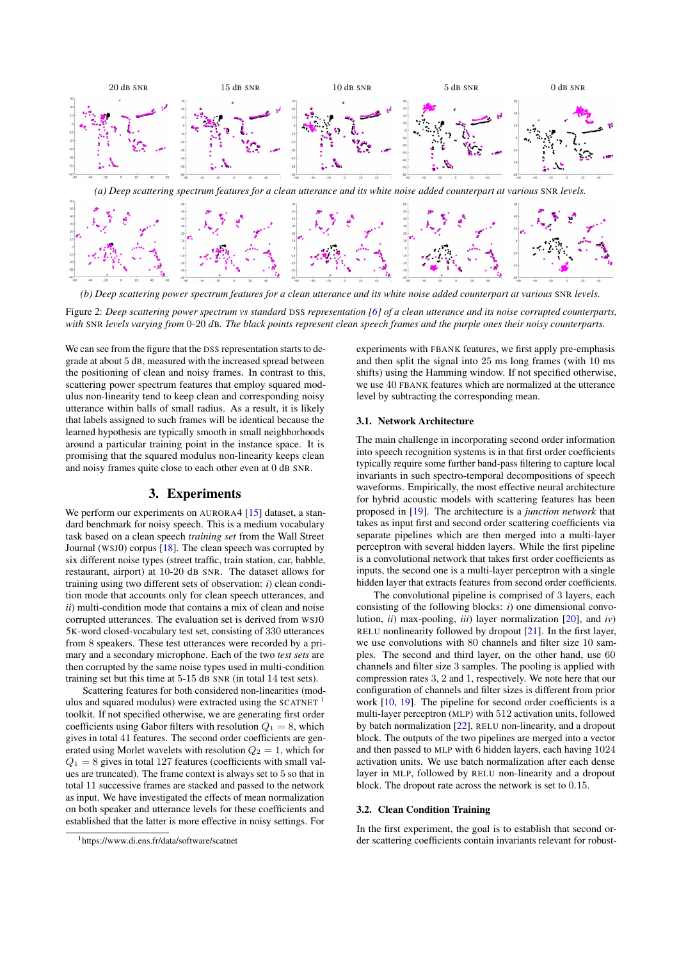<span id="page-2-0"></span>

*(b) Deep scattering power spectrum features for a clean utterance and its white noise added counterpart at various* SNR *levels.*

Figure 2: *Deep scattering power spectrum vs standard* DSS *representation [\[6\]](#page-4-5) of a clean utterance and its noise corrupted counterparts, with* SNR *levels varying from* 0*-*20 *d*B*. The black points represent clean speech frames and the purple ones their noisy counterparts.*

We can see from the figure that the DSS representation starts to degrade at about 5 dB, measured with the increased spread between the positioning of clean and noisy frames. In contrast to this, scattering power spectrum features that employ squared modulus non-linearity tend to keep clean and corresponding noisy utterance within balls of small radius. As a result, it is likely that labels assigned to such frames will be identical because the learned hypothesis are typically smooth in small neighborhoods around a particular training point in the instance space. It is promising that the squared modulus non-linearity keeps clean and noisy frames quite close to each other even at 0 dB SNR.

## 3. Experiments

We perform our experiments on AURORA4 [\[15\]](#page-4-14) dataset, a standard benchmark for noisy speech. This is a medium vocabulary task based on a clean speech *training set* from the Wall Street Journal (WSJ0) corpus [\[18\]](#page-4-17). The clean speech was corrupted by six different noise types (street traffic, train station, car, babble, restaurant, airport) at 10-20 dB SNR. The dataset allows for training using two different sets of observation: *i*) clean condition mode that accounts only for clean speech utterances, and *ii*) multi-condition mode that contains a mix of clean and noise corrupted utterances. The evaluation set is derived from WSJ0 5K-word closed-vocabulary test set, consisting of 330 utterances from 8 speakers. These test utterances were recorded by a primary and a secondary microphone. Each of the two *test sets* are then corrupted by the same noise types used in multi-condition training set but this time at 5-15 dB SNR (in total 14 test sets).

Scattering features for both considered non-linearities (mod-ulus and squared modulus) were extracted using the SCATNET<sup>[1](#page-2-1)</sup> toolkit. If not specified otherwise, we are generating first order coefficients using Gabor filters with resolution  $Q_1 = 8$ , which gives in total 41 features. The second order coefficients are generated using Morlet wavelets with resolution  $Q_2 = 1$ , which for  $Q_1 = 8$  gives in total 127 features (coefficients with small values are truncated). The frame context is always set to 5 so that in total 11 successive frames are stacked and passed to the network as input. We have investigated the effects of mean normalization on both speaker and utterance levels for these coefficients and established that the latter is more effective in noisy settings. For experiments with FBANK features, we first apply pre-emphasis and then split the signal into 25 ms long frames (with 10 ms shifts) using the Hamming window. If not specified otherwise, we use 40 FBANK features which are normalized at the utterance level by subtracting the corresponding mean.

#### 3.1. Network Architecture

The main challenge in incorporating second order information into speech recognition systems is in that first order coefficients typically require some further band-pass filtering to capture local invariants in such spectro-temporal decompositions of speech waveforms. Empirically, the most effective neural architecture for hybrid acoustic models with scattering features has been proposed in [\[19\]](#page-4-18). The architecture is a *junction network* that takes as input first and second order scattering coefficients via separate pipelines which are then merged into a multi-layer perceptron with several hidden layers. While the first pipeline is a convolutional network that takes first order coefficients as inputs, the second one is a multi-layer perceptron with a single hidden layer that extracts features from second order coefficients.

The convolutional pipeline is comprised of 3 layers, each consisting of the following blocks: *i*) one dimensional convolution, *ii*) max-pooling, *iii*) layer normalization [\[20\]](#page-4-19), and *iv*) RELU nonlinearity followed by dropout [\[21\]](#page-4-20). In the first layer, we use convolutions with 80 channels and filter size 10 samples. The second and third layer, on the other hand, use 60 channels and filter size 3 samples. The pooling is applied with compression rates 3, 2 and 1, respectively. We note here that our configuration of channels and filter sizes is different from prior work [\[10,](#page-4-9) [19\]](#page-4-18). The pipeline for second order coefficients is a multi-layer perceptron (MLP) with 512 activation units, followed by batch normalization [\[22\]](#page-4-21), RELU non-linearity, and a dropout block. The outputs of the two pipelines are merged into a vector and then passed to MLP with 6 hidden layers, each having 1024 activation units. We use batch normalization after each dense layer in MLP, followed by RELU non-linearity and a dropout block. The dropout rate across the network is set to 0.15.

#### 3.2. Clean Condition Training

In the first experiment, the goal is to establish that second order scattering coefficients contain invariants relevant for robust-

<span id="page-2-1"></span><sup>&</sup>lt;sup>1</sup>https://www.di.ens.fr/data/software/scatnet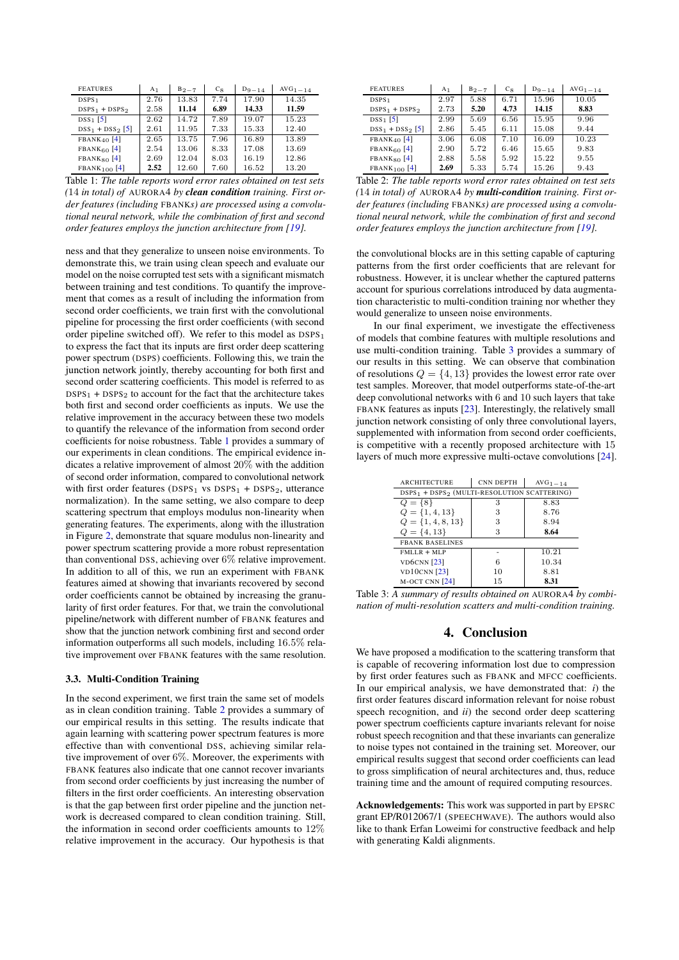<span id="page-3-0"></span>

| <b>FEATURES</b>     | A <sub>1</sub> | $B_{2-7}$ | $C_8$ | $D_{9-14}$ | $AVG1 = 14$ |
|---------------------|----------------|-----------|-------|------------|-------------|
| DSPS <sub>1</sub>   | 2.76           | 13.83     | 7.74  | 17.90      | 14.35       |
| $DSPS_1 + DSPS_2$   | 2.58           | 11.14     | 6.89  | 14.33      | 11.59       |
| $DSS_1$ [5]         | 2.62           | 14.72     | 7.89  | 19.07      | 15.23       |
| $DSS_1 + DSS_2$ [5] | 2.61           | 11.95     | 7.33  | 15.33      | 12.40       |
| $FBANK_{40}$ [4]    | 2.65           | 13.75     | 7.96  | 16.89      | 13.89       |
| $FBANK60$ [4]       | 2.54           | 13.06     | 8.33  | 17.08      | 13.69       |
| $FBANK80$ [4]       | 2.69           | 12.04     | 8.03  | 16.19      | 12.86       |
| $FBANK100$ [4]      | 2.52           | 12.60     | 7.60  | 16.52      | 13.20       |

Table 1: *The table reports word error rates obtained on test sets (*14 *in total) of* AURORA4 *by clean condition training. First order features (including* FBANK*s) are processed using a convolutional neural network, while the combination of first and second order features employs the junction architecture from [\[19\]](#page-4-18).*

ness and that they generalize to unseen noise environments. To demonstrate this, we train using clean speech and evaluate our model on the noise corrupted test sets with a significant mismatch between training and test conditions. To quantify the improvement that comes as a result of including the information from second order coefficients, we train first with the convolutional pipeline for processing the first order coefficients (with second order pipeline switched off). We refer to this model as DSPS<sub>1</sub> to express the fact that its inputs are first order deep scattering power spectrum (DSPS) coefficients. Following this, we train the junction network jointly, thereby accounting for both first and second order scattering coefficients. This model is referred to as  $DSPS<sub>1</sub> + DSPS<sub>2</sub>$  to account for the fact that the architecture takes both first and second order coefficients as inputs. We use the relative improvement in the accuracy between these two models to quantify the relevance of the information from second order coefficients for noise robustness. Table [1](#page-3-0) provides a summary of our experiments in clean conditions. The empirical evidence indicates a relative improvement of almost 20% with the addition of second order information, compared to convolutional network with first order features (DSPS<sub>1</sub> vs DSPS<sub>1</sub> + DSPS<sub>2</sub>, utterance normalization). In the same setting, we also compare to deep scattering spectrum that employs modulus non-linearity when generating features. The experiments, along with the illustration in Figure [2,](#page-2-0) demonstrate that square modulus non-linearity and power spectrum scattering provide a more robust representation than conventional DSS, achieving over 6% relative improvement. In addition to all of this, we run an experiment with FBANK features aimed at showing that invariants recovered by second order coefficients cannot be obtained by increasing the granularity of first order features. For that, we train the convolutional pipeline/network with different number of FBANK features and show that the junction network combining first and second order information outperforms all such models, including 16.5% relative improvement over FBANK features with the same resolution.

#### 3.3. Multi-Condition Training

In the second experiment, we first train the same set of models as in clean condition training. Table [2](#page-3-1) provides a summary of our empirical results in this setting. The results indicate that again learning with scattering power spectrum features is more effective than with conventional DSS, achieving similar relative improvement of over 6%. Moreover, the experiments with FBANK features also indicate that one cannot recover invariants from second order coefficients by just increasing the number of filters in the first order coefficients. An interesting observation is that the gap between first order pipeline and the junction network is decreased compared to clean condition training. Still, the information in second order coefficients amounts to 12% relative improvement in the accuracy. Our hypothesis is that

<span id="page-3-1"></span>

| <b>FEATURES</b>           | A <sub>1</sub> | $B_{2-7}$ | $C_8$ | $D_9 = 14$ | $AVG1 = 14$ |
|---------------------------|----------------|-----------|-------|------------|-------------|
| DSPS <sub>1</sub>         | 2.97           | 5.88      | 6.71  | 15.96      | 10.05       |
| $DSPS1 + DSPS2$           | 2.73           | 5.20      | 4.73  | 14.15      | 8.83        |
| $DSS_1$ [5]               | 2.99           | 5.69      | 6.56  | 15.95      | 9.96        |
| $DSS_1 + DSS_2$ [5]       | 2.86           | 5.45      | 6.11  | 15.08      | 9.44        |
| $FBANK_{40}$ [4]          | 3.06           | 6.08      | 7.10  | 16.09      | 10.23       |
| FBANK <sub>60</sub> $[4]$ | 2.90           | 5.72      | 6.46  | 15.65      | 9.83        |
| $FBANK80$ [4]             | 2.88           | 5.58      | 5.92  | 15.22      | 9.55        |
| $FBANK100$ [4]            | 2.69           | 5.33      | 5.74  | 15.26      | 9.43        |

Table 2: *The table reports word error rates obtained on test sets (*14 *in total) of* AURORA4 *by multi-condition training. First order features (including* FBANK*s) are processed using a convolutional neural network, while the combination of first and second order features employs the junction architecture from [\[19\]](#page-4-18).*

the convolutional blocks are in this setting capable of capturing patterns from the first order coefficients that are relevant for robustness. However, it is unclear whether the captured patterns account for spurious correlations introduced by data augmentation characteristic to multi-condition training nor whether they would generalize to unseen noise environments.

In our final experiment, we investigate the effectiveness of models that combine features with multiple resolutions and use multi-condition training. Table [3](#page-3-2) provides a summary of our results in this setting. We can observe that combination of resolutions  $Q = \{4, 13\}$  provides the lowest error rate over test samples. Moreover, that model outperforms state-of-the-art deep convolutional networks with 6 and 10 such layers that take FBANK features as inputs [\[23\]](#page-4-22). Interestingly, the relatively small junction network consisting of only three convolutional layers, supplemented with information from second order coefficients, is competitive with a recently proposed architecture with 15 layers of much more expressive multi-octave convolutions [\[24\]](#page-4-23).

<span id="page-3-2"></span>

| <b>ARCHITECTURE</b>                                                 | <b>CNN DEPTH</b> | $AVG1 - 14$ |  |  |  |  |
|---------------------------------------------------------------------|------------------|-------------|--|--|--|--|
| DSPS <sub>1</sub> + DSPS <sub>2</sub> (MULTI-RESOLUTION SCATTERING) |                  |             |  |  |  |  |
| $Q = \{8\}$                                                         | 3                | 8.83        |  |  |  |  |
| $Q = \{1, 4, 13\}$                                                  | 3                | 8.76        |  |  |  |  |
| $Q = \{1, 4, 8, 13\}$                                               | 3                | 8.94        |  |  |  |  |
| $Q = \{4, 13\}$                                                     | 3                | 8.64        |  |  |  |  |
| <b>FBANK BASELINES</b>                                              |                  |             |  |  |  |  |
| $FMLLR + MLP$                                                       |                  | 10.21       |  |  |  |  |
| <b>VD6CNN</b> [23]                                                  | 6                | 10.34       |  |  |  |  |
| <b>VD10CNN</b> [23]                                                 | 10               | 8.81        |  |  |  |  |
| $M$ -OCT CNN $[24]$                                                 | 15               | 8.31        |  |  |  |  |

Table 3: *A summary of results obtained on* AURORA4 *by combination of multi-resolution scatters and multi-condition training.*

## 4. Conclusion

We have proposed a modification to the scattering transform that is capable of recovering information lost due to compression by first order features such as FBANK and MFCC coefficients. In our empirical analysis, we have demonstrated that: *i*) the first order features discard information relevant for noise robust speech recognition, and *ii*) the second order deep scattering power spectrum coefficients capture invariants relevant for noise robust speech recognition and that these invariants can generalize to noise types not contained in the training set. Moreover, our empirical results suggest that second order coefficients can lead to gross simplification of neural architectures and, thus, reduce training time and the amount of required computing resources.

Acknowledgements: This work was supported in part by EPSRC grant EP/R012067/1 (SPEECHWAVE). The authors would also like to thank Erfan Loweimi for constructive feedback and help with generating Kaldi alignments.